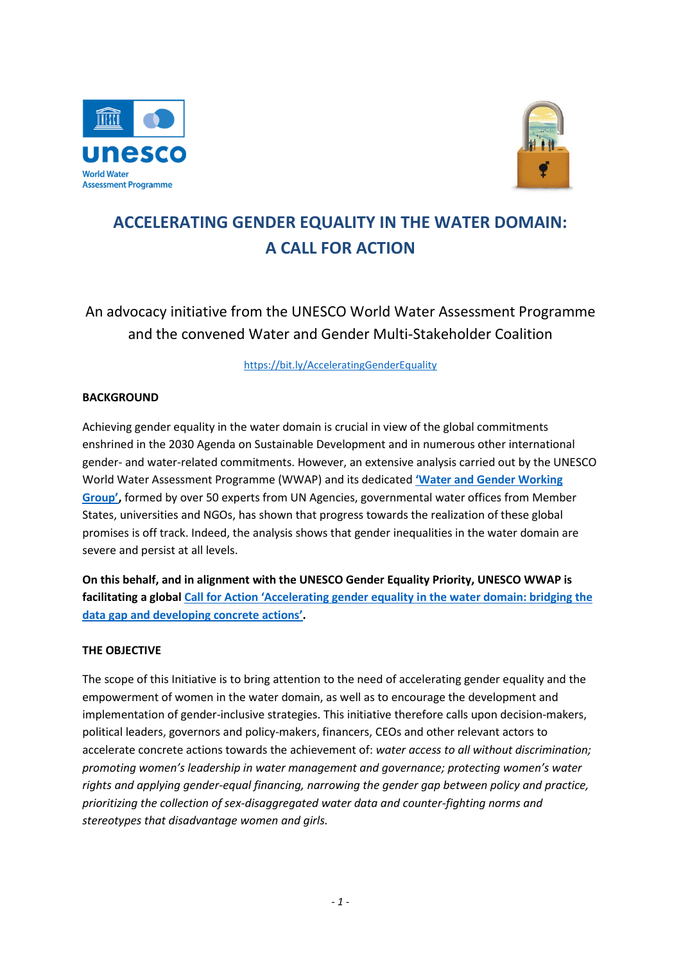



# **ACCELERATING GENDER EQUALITY IN THE WATER DOMAIN: A CALL FOR ACTION**

An advocacy initiative from the UNESCO World Water Assessment Programme and the convened Water and Gender Multi-Stakeholder Coalition

<https://bit.ly/AcceleratingGenderEquality>

### **BACKGROUND**

Achieving gender equality in the water domain is crucial in view of the global commitments enshrined in the 2030 Agenda on Sustainable Development and in numerous other international gender- and water-related commitments. However, an extensive analysis carried out by the UNESCO World Water Assessment Programme (WWAP) and its dedicated **'[Water and Gender Working](https://en.unesco.org/sites/default/files/water_and_gender_working_group_list_of_experts.pdf)  [Group](https://en.unesco.org/sites/default/files/water_and_gender_working_group_list_of_experts.pdf)',** formed by over 50 experts from UN Agencies, governmental water offices from Member States, universities and NGOs, has shown that progress towards the realization of these global promises is off track. Indeed, the analysis shows that gender inequalities in the water domain are severe and persist at all levels.

**On this behalf, and in alignment with the UNESCO Gender Equality Priority, UNESCO WWAP is facilitating a global [Call for Action 'Accelerating gender equality i](https://bit.ly/AcceleratingGenderEquality)n the water domain: bridging the [data gap and developing concrete actions'](https://bit.ly/AcceleratingGenderEquality).**

#### **THE OBJECTIVE**

The scope of this Initiative is to bring attention to the need of accelerating gender equality and the empowerment of women in the water domain, as well as to encourage the development and implementation of gender-inclusive strategies. This initiative therefore calls upon decision-makers, political leaders, governors and policy-makers, financers, CEOs and other relevant actors to accelerate concrete actions towards the achievement of: *water access to all without discrimination; promoting women's leadership in water management and governance; protecting women's water rights and applying gender-equal financing, narrowing the gender gap between policy and practice, prioritizing the collection of sex-disaggregated water data and counter-fighting norms and stereotypes that disadvantage women and girls.*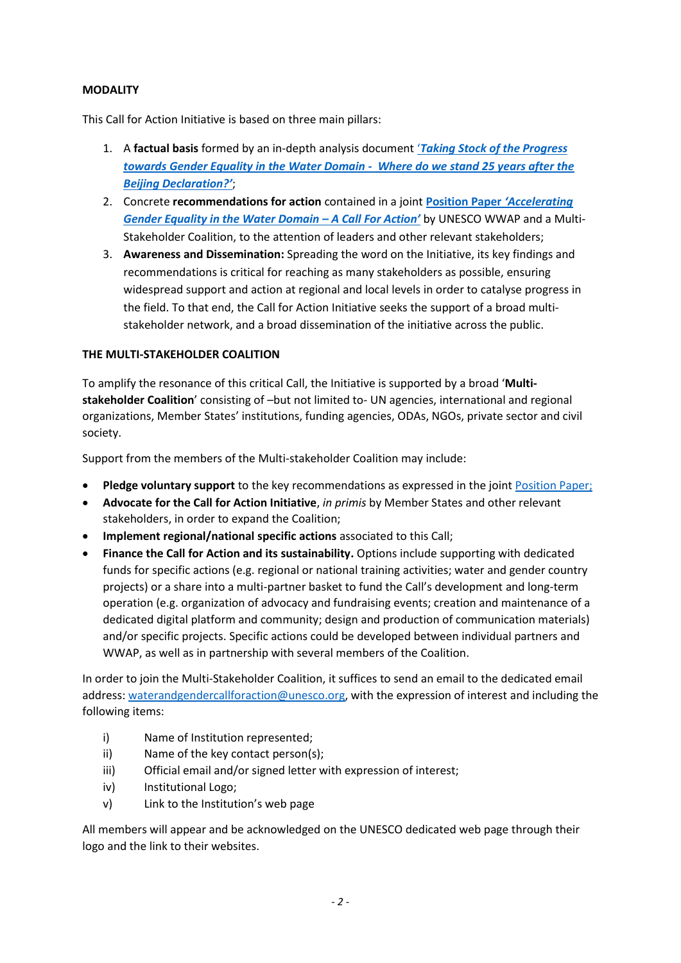### **MODALITY**

This Call for Action Initiative is based on three main pillars:

- 1. A **factual basis** formed by an in-depth analysis document '*[Taking Stock of the Progress](https://unesdoc.unesco.org/ark:/48223/pf0000377601)  [towards Gender Equality in the Water Domain - Where do we stand 25 years after the](https://unesdoc.unesco.org/ark:/48223/pf0000377601)  [Beijing Declaration?](https://unesdoc.unesco.org/ark:/48223/pf0000377601)'*;
- 2. Concrete **recommendations for action** contained in a joint **[Position Paper](https://bit.ly/AcceleratingGenderEquality)** *'Accelerating [Gender Equality in the Water Domain](https://bit.ly/AcceleratingGenderEquality) – A Call For Action'* by UNESCO WWAP and a Multi-Stakeholder Coalition, to the attention of leaders and other relevant stakeholders;
- 3. **Awareness and Dissemination:** Spreading the word on the Initiative, its key findings and recommendations is critical for reaching as many stakeholders as possible, ensuring widespread support and action at regional and local levels in order to catalyse progress in the field. To that end, the Call for Action Initiative seeks the support of a broad multistakeholder network, and a broad dissemination of the initiative across the public.

### **THE MULTI-STAKEHOLDER COALITION**

To amplify the resonance of this critical Call, the Initiative is supported by a broad '**Multistakeholder Coalition**' consisting of –but not limited to- UN agencies, international and regional organizations, Member States' institutions, funding agencies, ODAs, NGOs, private sector and civil society.

Support from the members of the Multi-stakeholder Coalition may include:

- **Pledge voluntary support** to the key recommendations as expressed in the joint [Position Paper;](https://en.unesco.org/sites/default/files/accelerating_gender_equality_in_the_water_domain_a_call_for_action_position_paper_final.pdf)
- **Advocate for the Call for Action Initiative**, *in primis* by Member States and other relevant stakeholders, in order to expand the Coalition;
- **Implement regional/national specific actions** associated to this Call;
- **Finance the Call for Action and its sustainability.** Options include supporting with dedicated funds for specific actions (e.g. regional or national training activities; water and gender country projects) or a share into a multi-partner basket to fund the Call's development and long-term operation (e.g. organization of advocacy and fundraising events; creation and maintenance of a dedicated digital platform and community; design and production of communication materials) and/or specific projects. Specific actions could be developed between individual partners and WWAP, as well as in partnership with several members of the Coalition.

In order to join the Multi-Stakeholder Coalition, it suffices to send an email to the dedicated email address: [waterandgendercallforaction@unesco.org,](mailto:waterandgendercallforaction@unesco.org) with the expression of interest and including the following items:

- i) Name of Institution represented;
- ii) Name of the key contact person(s);
- iii) Official email and/or signed letter with expression of interest;
- iv) Institutional Logo;
- v) Link to the Institution's web page

All members will appear and be acknowledged on the UNESCO dedicated web page through their logo and the link to their websites.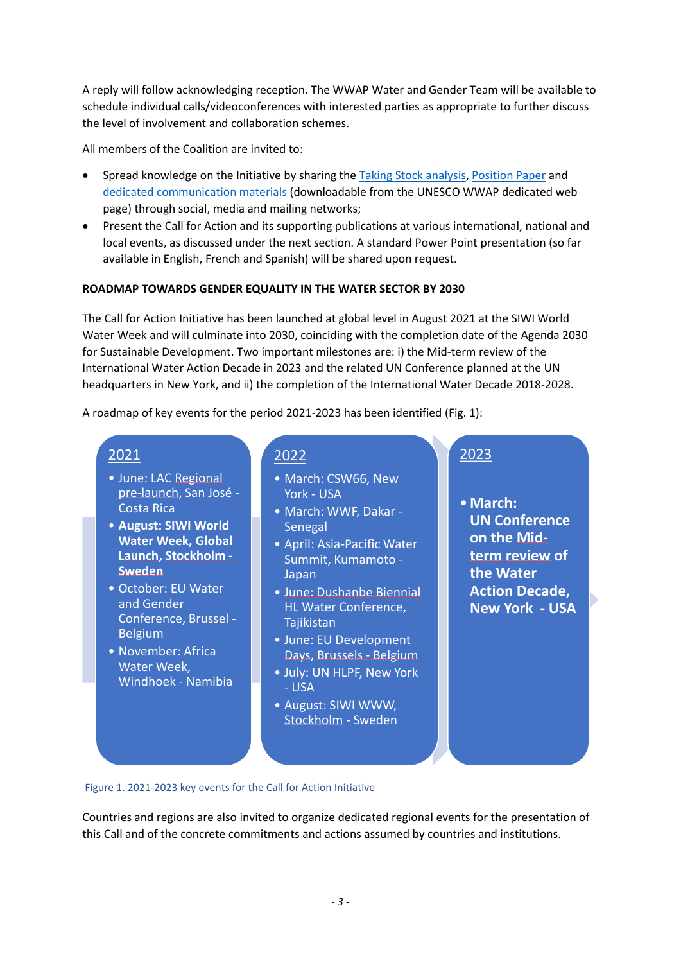A reply will follow acknowledging reception. The WWAP Water and Gender Team will be available to schedule individual calls/videoconferences with interested parties as appropriate to further discuss the level of involvement and collaboration schemes.

All members of the Coalition are invited to:

- Spread knowledge on the Initiative by sharing the [Taking Stock analysis,](https://unesdoc.unesco.org/ark:/48223/pf0000377601) [Position Paper](https://en.unesco.org/sites/default/files/accelerating_gender_equality_in_the_water_domain_a_call_for_action_position_paper_final.pdf) and [dedicated communication materials](https://unesco.sharepoint.com/:f:/s/UNESCOforExternal/Eif_9y2j6tZDjaYWQto9V4cBIa7pvV9aj-j35rwXuz6fSw?e=btLcco) (downloadable from the UNESCO WWAP dedicated web page) through social, media and mailing networks;
- Present the Call for Action and its supporting publications at various international, national and local events, as discussed under the next section. A standard Power Point presentation (so far available in English, French and Spanish) will be shared upon request.

### **ROADMAP TOWARDS GENDER EQUALITY IN THE WATER SECTOR BY 2030**

The Call for Action Initiative has been launched at global level in August 2021 at the SIWI World Water Week and will culminate into 2030, coinciding with the completion date of the Agenda 2030 for Sustainable Development. Two important milestones are: i) the Mid-term review of the International Water Action Decade in 2023 and the related UN Conference planned at the UN headquarters in New York, and ii) the completion of the International Water Decade 2018-2028.

A roadmap of key events for the period 2021-2023 has been identified (Fig. 1):

## 2021

- June: LAC Regional pre-launch, San José - Costa Rica
- **August: SIWI World Water Week, Global Launch, Stockholm - Sweden**
- October: EU Water and Gender Conference, Brussel - Belgium
- November: Africa Water Week, Windhoek - Namibia

## 2022

- March: CSW66, New York - USA
- March: WWF, Dakar **Senegal**
- April: Asia-Pacific Water Summit, Kumamoto - Japan
- June: Dushanbe Biennial HL Water Conference, **Tajikistan**
- June: EU Development Days, Brussels - Belgium
- July: UN HLPF, New York - USA
- August: SIWI WWW, Stockholm - Sweden

# 2023

•**March: UN Conference on the Midterm review of the Water Action Decade, New York - USA**

#### Figure 1. 2021-2023 key events for the Call for Action Initiative

Countries and regions are also invited to organize dedicated regional events for the presentation of this Call and of the concrete commitments and actions assumed by countries and institutions.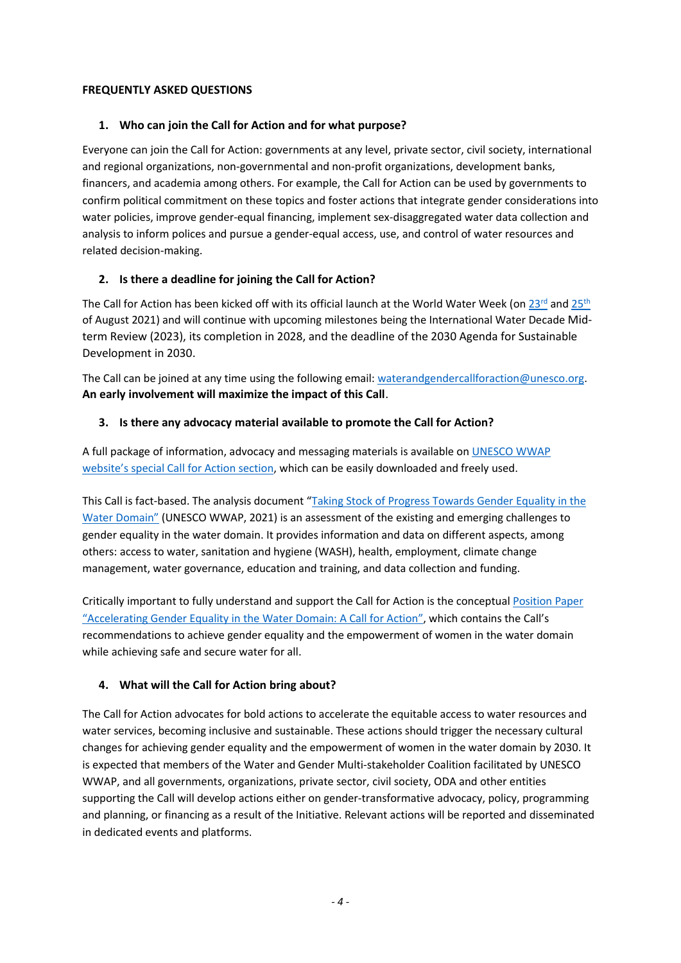### **FREQUENTLY ASKED QUESTIONS**

### **1. Who can join the Call for Action and for what purpose?**

Everyone can join the Call for Action: governments at any level, private sector, civil society, international and regional organizations, non-governmental and non-profit organizations, development banks, financers, and academia among others. For example, the Call for Action can be used by governments to confirm political commitment on these topics and foster actions that integrate gender considerations into water policies, improve gender-equal financing, implement sex-disaggregated water data collection and analysis to inform polices and pursue a gender-equal access, use, and control of water resources and related decision-making.

### **2. Is there a deadline for joining the Call for Action?**

The Call for Action has been kicked off with its official launch at the World Water Week (on [23](https://www.worldwaterweek.org/event/9747-accelerating-gender-equality-in-the-water-domain)rd an[d 25](https://www.worldwaterweek.org/event/9937-accelerating-gender-equality-in-the-water-domain)<sup>th</sup> of August 2021) and will continue with upcoming milestones being the International Water Decade Midterm Review (2023), its completion in 2028, and the deadline of the 2030 Agenda for Sustainable Development in 2030.

The Call can be joined at any time using the following email: [waterandgendercallforaction@unesco.org.](mailto:waterandgendercallforaction@unesco.org) **An early involvement will maximize the impact of this Call**.

### **3. Is there any advocacy material available to promote the Call for Action?**

A full package of information, advocacy and messaging materials is available o[n UNESCO WWAP](https://en.unesco.org/news/call-action-accelerate-gender-equality-water-domain) website's special [Call for Action section,](https://en.unesco.org/news/call-action-accelerate-gender-equality-water-domain) which can be easily downloaded and freely used.

This Call is fact-based. The analysis document "[Taking Stock of Progress Towards Gender Equality in the](https://unesdoc.unesco.org/ark:/48223/pf0000377601)  [Water Domain](https://unesdoc.unesco.org/ark:/48223/pf0000377601)" (UNESCO WWAP, 2021) is an assessment of the existing and emerging challenges to gender equality in the water domain. It provides information and data on different aspects, among others: access to water, sanitation and hygiene (WASH), health, employment, climate change management, water governance, education and training, and data collection and funding.

Critically important to fully understand and support the Call for Action is the conceptua[l Position Paper](https://en.unesco.org/sites/default/files/accelerating_gender_equality_in_the_water_domain_a_call_for_action_position_paper_final.pdf)  "[Accelerating Gender Equality in the Water Domain: A Call for Action](https://en.unesco.org/sites/default/files/accelerating_gender_equality_in_the_water_domain_a_call_for_action_position_paper_final.pdf)", which contains the Call's recommendations to achieve gender equality and the empowerment of women in the water domain while achieving safe and secure water for all.

### **4. What will the Call for Action bring about?**

The Call for Action advocates for bold actions to accelerate the equitable access to water resources and water services, becoming inclusive and sustainable. These actions should trigger the necessary cultural changes for achieving gender equality and the empowerment of women in the water domain by 2030. It is expected that members of the Water and Gender Multi-stakeholder Coalition facilitated by UNESCO WWAP, and all governments, organizations, private sector, civil society, ODA and other entities supporting the Call will develop actions either on gender-transformative advocacy, policy, programming and planning, or financing as a result of the Initiative. Relevant actions will be reported and disseminated in dedicated events and platforms.